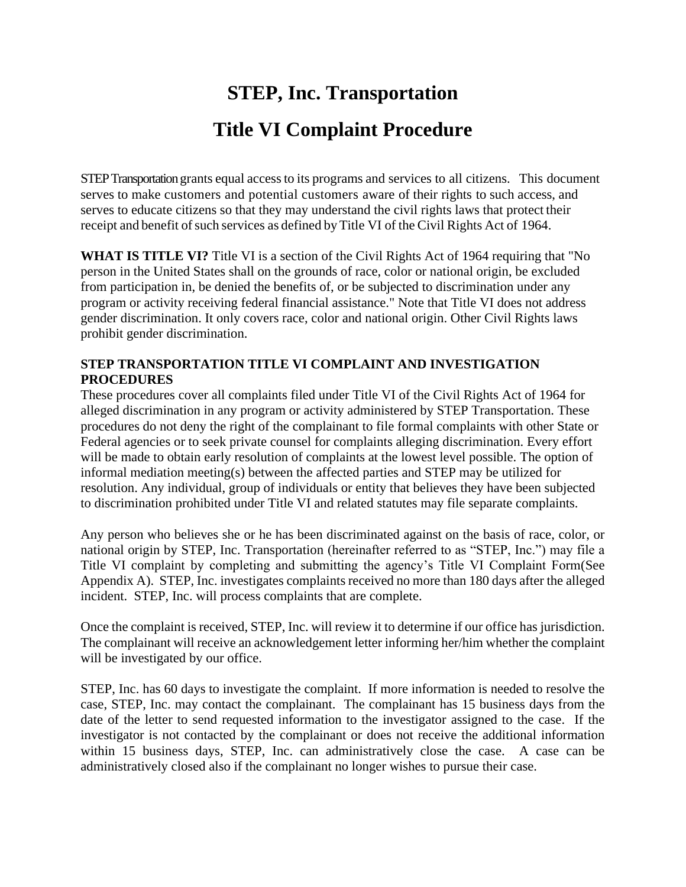# **STEP, Inc. Transportation Title VI Complaint Procedure**

STEP Transportation grants equal access to its programs and services to all citizens. This document serves to make customers and potential customers aware of their rights to such access, and serves to educate citizens so that they may understand the civil rights laws that protect their receipt and benefit of such services as defined by Title VI of the Civil Rights Act of 1964.

**WHAT IS TITLE VI?** Title VI is a section of the Civil Rights Act of 1964 requiring that "No person in the United States shall on the grounds of race, color or national origin, be excluded from participation in, be denied the benefits of, or be subjected to discrimination under any program or activity receiving federal financial assistance." Note that Title VI does not address gender discrimination. It only covers race, color and national origin. Other Civil Rights laws prohibit gender discrimination.

#### **STEP TRANSPORTATION TITLE VI COMPLAINT AND INVESTIGATION PROCEDURES**

These procedures cover all complaints filed under Title VI of the Civil Rights Act of 1964 for alleged discrimination in any program or activity administered by STEP Transportation. These procedures do not deny the right of the complainant to file formal complaints with other State or Federal agencies or to seek private counsel for complaints alleging discrimination. Every effort will be made to obtain early resolution of complaints at the lowest level possible. The option of informal mediation meeting(s) between the affected parties and STEP may be utilized for resolution. Any individual, group of individuals or entity that believes they have been subjected to discrimination prohibited under Title VI and related statutes may file separate complaints.

Any person who believes she or he has been discriminated against on the basis of race, color, or national origin by STEP, Inc. Transportation (hereinafter referred to as "STEP, Inc.") may file a Title VI complaint by completing and submitting the agency's Title VI Complaint Form(See Appendix A). STEP, Inc. investigates complaints received no more than 180 days after the alleged incident. STEP, Inc. will process complaints that are complete.

Once the complaint is received, STEP, Inc. will review it to determine if our office has jurisdiction. The complainant will receive an acknowledgement letter informing her/him whether the complaint will be investigated by our office.

STEP, Inc. has 60 days to investigate the complaint. If more information is needed to resolve the case, STEP, Inc. may contact the complainant. The complainant has 15 business days from the date of the letter to send requested information to the investigator assigned to the case. If the investigator is not contacted by the complainant or does not receive the additional information within 15 business days, STEP, Inc. can administratively close the case. A case can be administratively closed also if the complainant no longer wishes to pursue their case.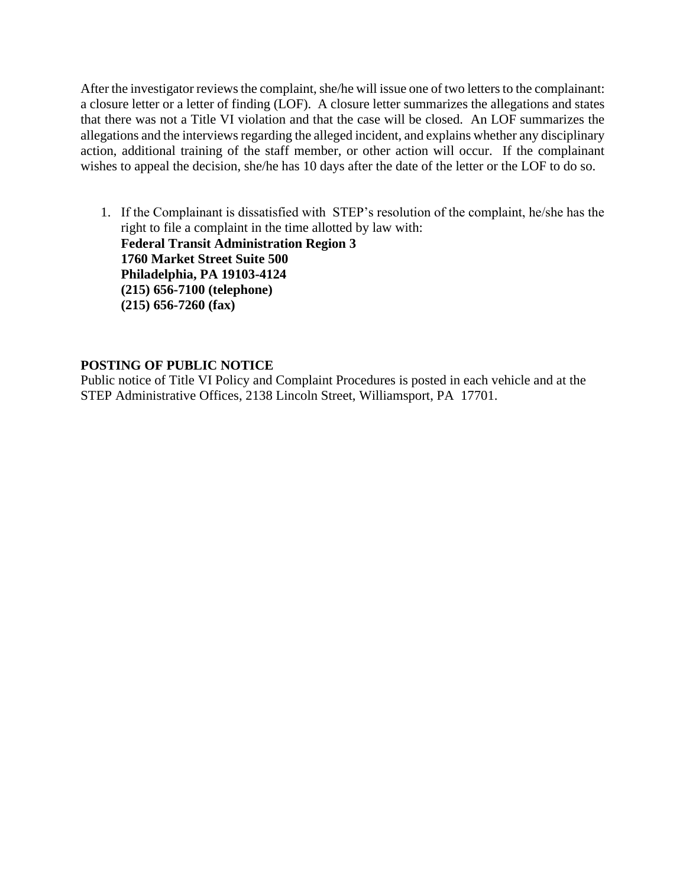After the investigator reviews the complaint, she/he will issue one of two letters to the complainant: a closure letter or a letter of finding (LOF). A closure letter summarizes the allegations and states that there was not a Title VI violation and that the case will be closed. An LOF summarizes the allegations and the interviews regarding the alleged incident, and explains whether any disciplinary action, additional training of the staff member, or other action will occur. If the complainant wishes to appeal the decision, she/he has 10 days after the date of the letter or the LOF to do so.

1. If the Complainant is dissatisfied with STEP's resolution of the complaint, he/she has the right to file a complaint in the time allotted by law with: **Federal Transit Administration Region 3 1760 Market Street Suite 500 Philadelphia, PA 19103-4124 (215) 656-7100 (telephone) (215) 656-7260 (fax)**

#### **POSTING OF PUBLIC NOTICE**

Public notice of Title VI Policy and Complaint Procedures is posted in each vehicle and at the STEP Administrative Offices, 2138 Lincoln Street, Williamsport, PA 17701.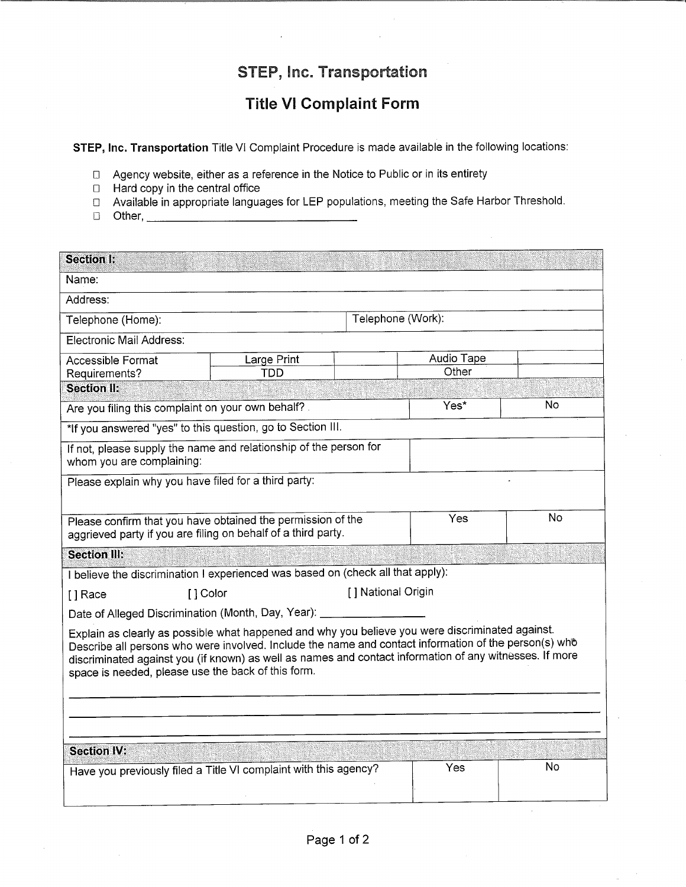## STEP, Inc. Transportation

### **Title VI Complaint Form**

STEP, Inc. Transportation Title VI Complaint Procedure is made available in the following locations:

- □ Agency website, either as a reference in the Notice to Public or in its entirety
- $\Box$  Hard copy in the central office
- □ Available in appropriate languages for LEP populations, meeting the Safe Harbor Threshold.
- D Other, 2008 01:00 01:00 01:00 01:00 01:00 01:00 01:00 01:00 02:00 02:00 02:00 02:00 02:00 02:00 02:00 02:00 0

| <b>Section I:</b>                                                                                                                                                                                                                                                                                                                                                          |                                 |                   |                     |    |  |
|----------------------------------------------------------------------------------------------------------------------------------------------------------------------------------------------------------------------------------------------------------------------------------------------------------------------------------------------------------------------------|---------------------------------|-------------------|---------------------|----|--|
| Name:                                                                                                                                                                                                                                                                                                                                                                      |                                 |                   |                     |    |  |
| Address:                                                                                                                                                                                                                                                                                                                                                                   |                                 |                   |                     |    |  |
| Telephone (Home):                                                                                                                                                                                                                                                                                                                                                          |                                 | Telephone (Work): |                     |    |  |
| Electronic Mail Address:                                                                                                                                                                                                                                                                                                                                                   |                                 |                   |                     |    |  |
| <b>Accessible Format</b>                                                                                                                                                                                                                                                                                                                                                   | Large Print                     |                   | Audio Tape<br>Other |    |  |
| Requirements?<br><b>Section II:</b>                                                                                                                                                                                                                                                                                                                                        | <b>TDD</b>                      |                   |                     |    |  |
| Are you filing this complaint on your own behalf?                                                                                                                                                                                                                                                                                                                          |                                 | Yes*              | No.                 |    |  |
| *If you answered "yes" to this question, go to Section III.                                                                                                                                                                                                                                                                                                                |                                 |                   |                     |    |  |
| If not, please supply the name and relationship of the person for<br>whom you are complaining:                                                                                                                                                                                                                                                                             |                                 |                   |                     |    |  |
| Please explain why you have filed for a third party:                                                                                                                                                                                                                                                                                                                       |                                 |                   |                     |    |  |
|                                                                                                                                                                                                                                                                                                                                                                            |                                 |                   |                     |    |  |
| Please confirm that you have obtained the permission of the<br>aggrieved party if you are filing on behalf of a third party.                                                                                                                                                                                                                                               |                                 |                   | Yes                 | No |  |
| <b>Section III:</b>                                                                                                                                                                                                                                                                                                                                                        |                                 |                   |                     |    |  |
| I believe the discrimination I experienced was based on (check all that apply):                                                                                                                                                                                                                                                                                            |                                 |                   |                     |    |  |
| [] Race                                                                                                                                                                                                                                                                                                                                                                    | [ ] National Origin<br>[1 Color |                   |                     |    |  |
| Date of Alleged Discrimination (Month, Day, Year): ____                                                                                                                                                                                                                                                                                                                    |                                 |                   |                     |    |  |
| Explain as clearly as possible what happened and why you believe you were discriminated against.<br>Describe all persons who were involved. Include the name and contact information of the person(s) who<br>discriminated against you (if known) as well as names and contact information of any witnesses. If more<br>space is needed, please use the back of this form. |                                 |                   |                     |    |  |
|                                                                                                                                                                                                                                                                                                                                                                            |                                 |                   |                     |    |  |
|                                                                                                                                                                                                                                                                                                                                                                            |                                 |                   |                     |    |  |
| <b>Section IV:</b>                                                                                                                                                                                                                                                                                                                                                         |                                 |                   |                     |    |  |
| Have you previously filed a Title VI complaint with this agency?                                                                                                                                                                                                                                                                                                           |                                 |                   | Yes                 | No |  |
|                                                                                                                                                                                                                                                                                                                                                                            |                                 |                   |                     |    |  |